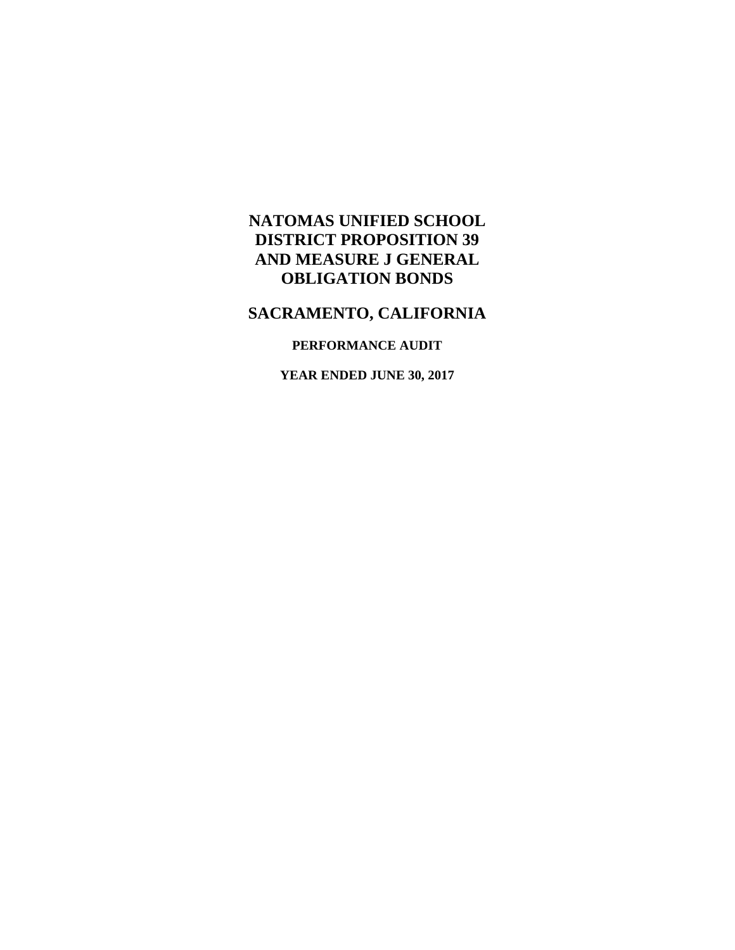## **NATOMAS UNIFIED SCHOOL DISTRICT PROPOSITION 39 AND MEASURE J GENERAL OBLIGATION BONDS**

# **SACRAMENTO, CALIFORNIA**

### **PERFORMANCE AUDIT**

**YEAR ENDED JUNE 30, 2017**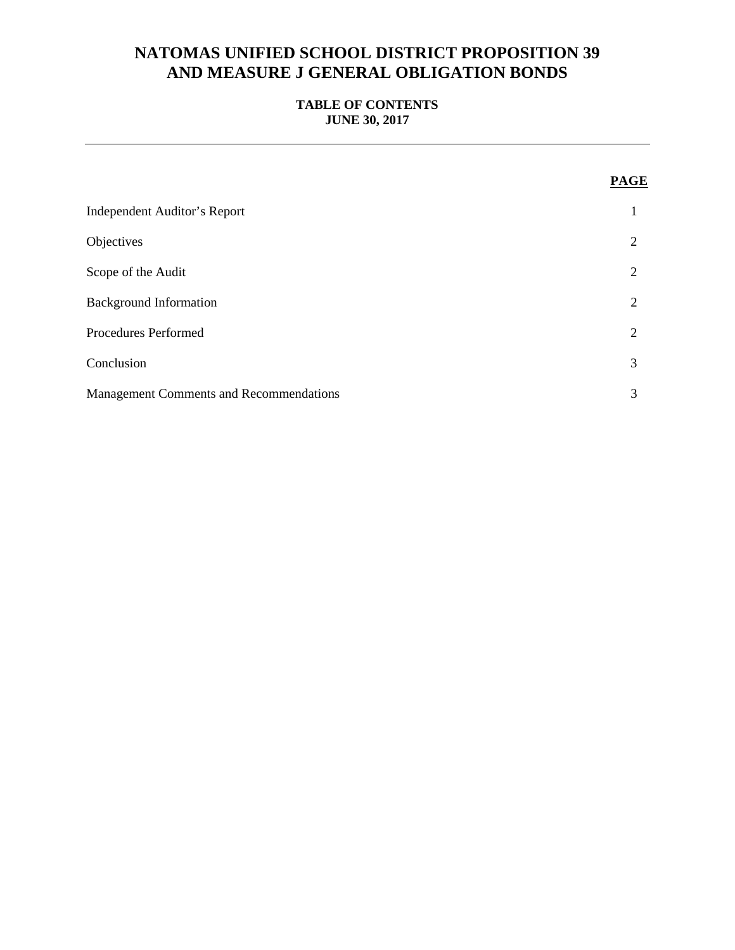## **NATOMAS UNIFIED SCHOOL DISTRICT PROPOSITION 39 AND MEASURE J GENERAL OBLIGATION BONDS**

### **TABLE OF CONTENTS JUNE 30, 2017**

|                                                | <b>PAGE</b>    |
|------------------------------------------------|----------------|
| <b>Independent Auditor's Report</b>            |                |
| Objectives                                     | 2              |
| Scope of the Audit                             | 2              |
| <b>Background Information</b>                  | $\overline{2}$ |
| Procedures Performed                           | 2              |
| Conclusion                                     | 3              |
| <b>Management Comments and Recommendations</b> | 3              |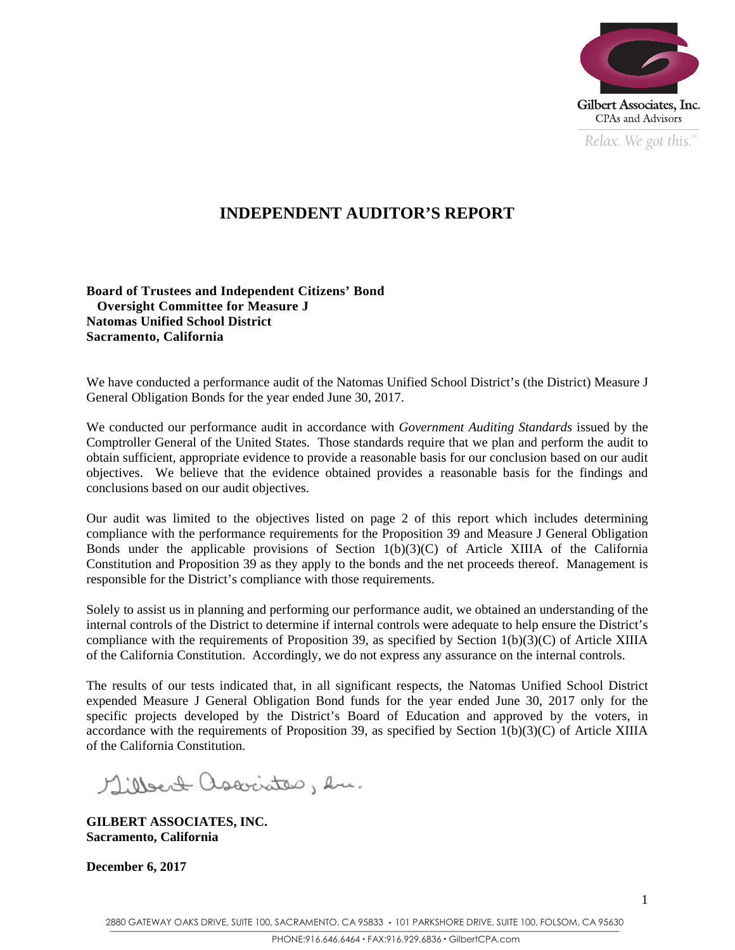

*Relax. We got this.*  $\degree$ 

## **INDEPENDENT AUDITOR'S REPORT**

**Board of Trustees and Independent Citizens' Bond Oversight Committee for Measure J Natomas Unified School District Sacramento, California** 

We have conducted a performance audit of the Natomas Unified School District's (the District) Measure J General Obligation Bonds for the year ended June 30, 2017.

We conducted our performance audit in accordance with *Government Auditing Standards* issued by the Comptroller General of the United States. Those standards require that we plan and perform the audit to obtain sufficient, appropriate evidence to provide a reasonable basis for our conclusion based on our audit objectives. We believe that the evidence obtained provides a reasonable basis for the findings and conclusions based on our audit objectives.

Our audit was limited to the objectives listed on page 2 of this report which includes determining compliance with the performance requirements for the Proposition 39 and Measure J General Obligation Bonds under the applicable provisions of Section  $1(b)(3)(C)$  of Article XIIIA of the California Constitution and Proposition 39 as they apply to the bonds and the net proceeds thereof. Management is responsible for the District's compliance with those requirements.

Solely to assist us in planning and performing our performance audit, we obtained an understanding of the internal controls of the District to determine if internal controls were adequate to help ensure the District's compliance with the requirements of Proposition 39, as specified by Section 1(b)(3)(C) of Article XIIIA of the California Constitution. Accordingly, we do not express any assurance on the internal controls.

The results of our tests indicated that, in all significant respects, the Natomas Unified School District expended Measure J General Obligation Bond funds for the year ended June 30, 2017 only for the specific projects developed by the District's Board of Education and approved by the voters, in accordance with the requirements of Proposition 39, as specified by Section 1(b)(3)(C) of Article XIIIA of the California Constitution.

Millert associates, en.

**GILBERT ASSOCIATES, INC. Sacramento, California** 

**December 6, 2017**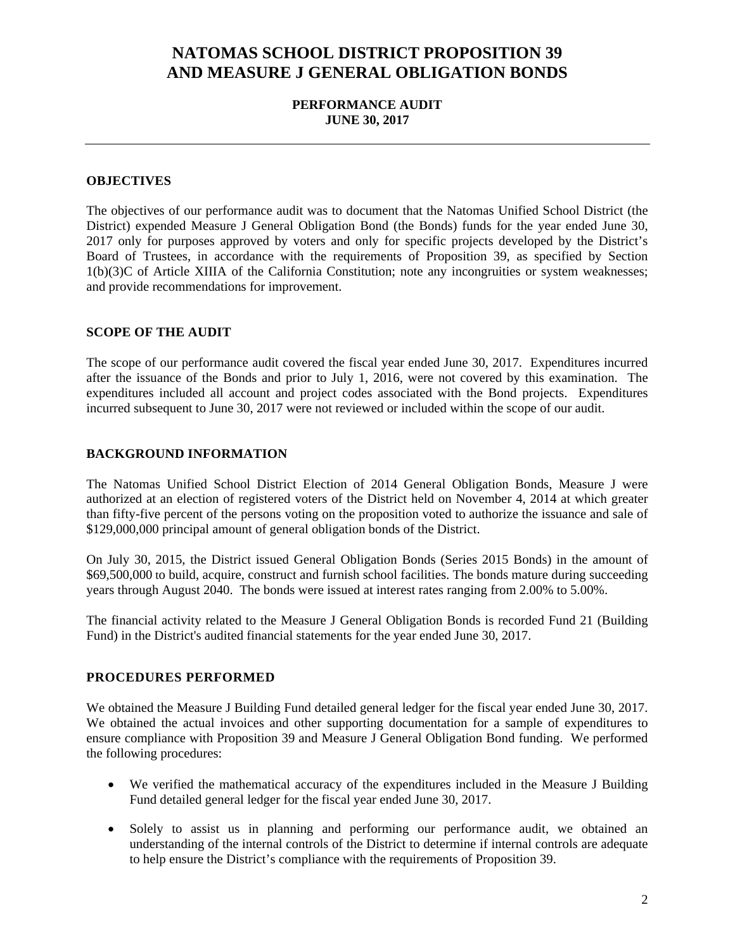## **NATOMAS SCHOOL DISTRICT PROPOSITION 39 AND MEASURE J GENERAL OBLIGATION BONDS**

#### **PERFORMANCE AUDIT JUNE 30, 2017**

#### **OBJECTIVES**

The objectives of our performance audit was to document that the Natomas Unified School District (the District) expended Measure J General Obligation Bond (the Bonds) funds for the year ended June 30, 2017 only for purposes approved by voters and only for specific projects developed by the District's Board of Trustees, in accordance with the requirements of Proposition 39, as specified by Section 1(b)(3)C of Article XIIIA of the California Constitution; note any incongruities or system weaknesses; and provide recommendations for improvement.

#### **SCOPE OF THE AUDIT**

The scope of our performance audit covered the fiscal year ended June 30, 2017. Expenditures incurred after the issuance of the Bonds and prior to July 1, 2016, were not covered by this examination. The expenditures included all account and project codes associated with the Bond projects. Expenditures incurred subsequent to June 30, 2017 were not reviewed or included within the scope of our audit.

#### **BACKGROUND INFORMATION**

The Natomas Unified School District Election of 2014 General Obligation Bonds, Measure J were authorized at an election of registered voters of the District held on November 4, 2014 at which greater than fifty-five percent of the persons voting on the proposition voted to authorize the issuance and sale of \$129,000,000 principal amount of general obligation bonds of the District.

On July 30, 2015, the District issued General Obligation Bonds (Series 2015 Bonds) in the amount of \$69,500,000 to build, acquire, construct and furnish school facilities. The bonds mature during succeeding years through August 2040. The bonds were issued at interest rates ranging from 2.00% to 5.00%.

The financial activity related to the Measure J General Obligation Bonds is recorded Fund 21 (Building Fund) in the District's audited financial statements for the year ended June 30, 2017.

#### **PROCEDURES PERFORMED**

We obtained the Measure J Building Fund detailed general ledger for the fiscal year ended June 30, 2017. We obtained the actual invoices and other supporting documentation for a sample of expenditures to ensure compliance with Proposition 39 and Measure J General Obligation Bond funding. We performed the following procedures:

- We verified the mathematical accuracy of the expenditures included in the Measure J Building Fund detailed general ledger for the fiscal year ended June 30, 2017.
- Solely to assist us in planning and performing our performance audit, we obtained an understanding of the internal controls of the District to determine if internal controls are adequate to help ensure the District's compliance with the requirements of Proposition 39.